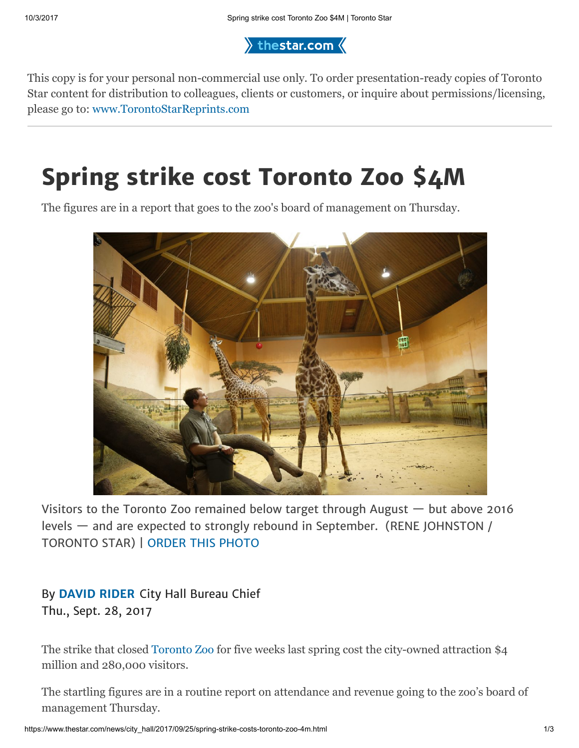$\rangle$  thestar.com  $\langle$ 

This copy is for your personal non-commercial use only. To order presentation-ready copies of Toronto Star content for distribution to colleagues, clients or customers, or inquire about permissions/licensing, please go to: [www.TorontoStarReprints.com](http://www.torontostarreprints.com/)

## Spring strike cost Toronto Zoo \$4M

The figures are in a report that goes to the zoo's board of management on Thursday.



Visitors to the Toronto Zoo remained below target through August — but above 2016 levels — and are expected to strongly rebound in September. (RENE JOHNSTON / TORONTO STAR) | ORDER THIS PHOTO

By [DAVID RIDER](https://www.thestar.com/authors.rider_david.html) City Hall Bureau Chief Thu., Sept. 28, 2017

The strike that closed [Toronto Zoo](http://www.torontozoo.com/) for five weeks last spring cost the city-owned attraction \$4 million and 280,000 visitors.

The startling figures are in a routine report on attendance and revenue going to the zoo's board of management Thursday.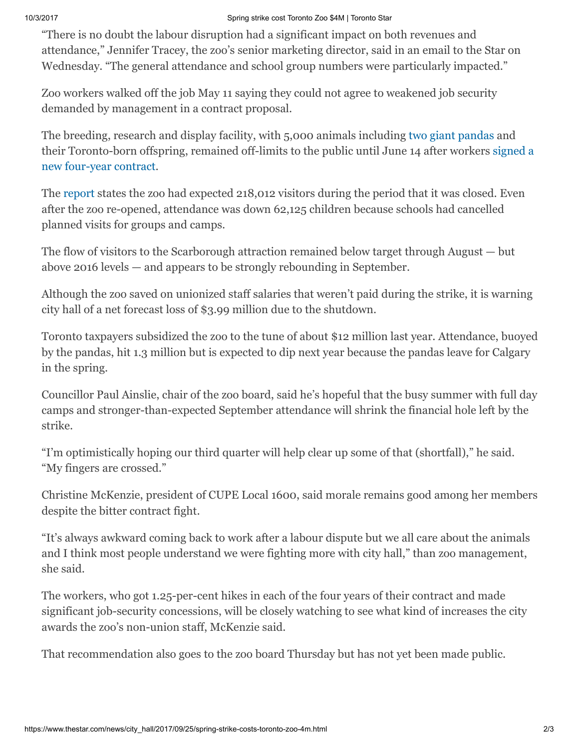## 10/3/2017 Spring strike cost Toronto Zoo \$4M | Toronto Star

"There is no doubt the labour disruption had a significant impact on both revenues and attendance," Jennifer Tracey, the zoo's senior marketing director, said in an email to the Star on Wednesday. "The general attendance and school group numbers were particularly impacted."

Zoo workers walked off the job May 11 saying they could not agree to weakened job security demanded by management in a contract proposal.

The breeding, research and display facility, with 5,000 animals including [two giant pandas](https://www.thestar.com/news/gta/2016/03/07/baby-pandas-to-make-first-public-appearance-today.html) and [their Toronto-born offspring, remained off-limits to the public until June 14 after workers signed a](https://www.thestar.com/news/gta/2017/06/08/toronto-zoo-reaches-tentative-deal-with-staff.html) new four-year contract.

The [report](http://www.toronto.ca/legdocs/mmis/2017/zb/bgrd/backgroundfile-107059.pdf) states the zoo had expected 218,012 visitors during the period that it was closed. Even after the zoo re-opened, attendance was down 62,125 children because schools had cancelled planned visits for groups and camps.

The flow of visitors to the Scarborough attraction remained below target through August — but above 2016 levels — and appears to be strongly rebounding in September.

Although the zoo saved on unionized staff salaries that weren't paid during the strike, it is warning city hall of a net forecast loss of \$3.99 million due to the shutdown.

Toronto taxpayers subsidized the zoo to the tune of about \$12 million last year. Attendance, buoyed by the pandas, hit 1.3 million but is expected to dip next year because the pandas leave for Calgary in the spring.

Councillor Paul Ainslie, chair of the zoo board, said he's hopeful that the busy summer with full day camps and stronger-than-expected September attendance will shrink the financial hole left by the strike.

"I'm optimistically hoping our third quarter will help clear up some of that (shortfall)," he said. "My fingers are crossed."

Christine McKenzie, president of CUPE Local 1600, said morale remains good among her members despite the bitter contract fight.

"It's always awkward coming back to work after a labour dispute but we all care about the animals and I think most people understand we were fighting more with city hall," than zoo management, she said.

The workers, who got 1.25-per-cent hikes in each of the four years of their contract and made significant job-security concessions, will be closely watching to see what kind of increases the city awards the zoo's non-union staff, McKenzie said.

That recommendation also goes to the zoo board Thursday but has not yet been made public.